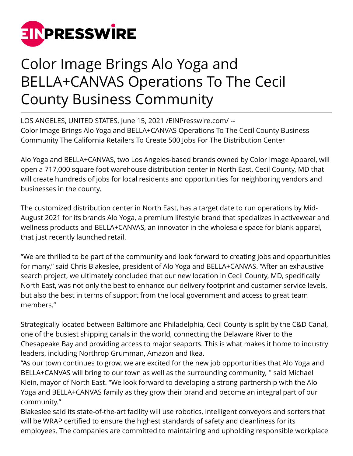

## Color Image Brings Alo Yoga and BELLA+CANVAS Operations To The Cecil County Business Community

LOS ANGELES, UNITED STATES, June 15, 2021 [/EINPresswire.com](http://www.einpresswire.com)/ -- Color Image Brings Alo Yoga and BELLA+CANVAS Operations To The Cecil County Business Community The California Retailers To Create 500 Jobs For The Distribution Center

Alo Yoga and BELLA+CANVAS, two Los Angeles-based brands owned by Color Image Apparel, will open a 717,000 square foot warehouse distribution center in North East, Cecil County, MD that will create hundreds of jobs for local residents and opportunities for neighboring vendors and businesses in the county.

The customized distribution center in North East, has a target date to run operations by Mid-August 2021 for its brands Alo Yoga, a premium lifestyle brand that specializes in activewear and wellness products and BELLA+CANVAS, an innovator in the wholesale space for blank apparel, that just recently launched retail.

"We are thrilled to be part of the community and look forward to creating jobs and opportunities for many," said Chris Blakeslee, president of Alo Yoga and BELLA+CANVAS. "After an exhaustive search project, we ultimately concluded that our new location in Cecil County, MD, specifically North East, was not only the best to enhance our delivery footprint and customer service levels, but also the best in terms of support from the local government and access to great team members."

Strategically located between Baltimore and Philadelphia, Cecil County is split by the C&D Canal, one of the busiest shipping canals in the world, connecting the Delaware River to the Chesapeake Bay and providing access to major seaports. This is what makes it home to industry leaders, including Northrop Grumman, Amazon and Ikea.

"As our town continues to grow, we are excited for the new job opportunities that Alo Yoga and BELLA+CANVAS will bring to our town as well as the surrounding community, '' said Michael Klein, mayor of North East. "We look forward to developing a strong partnership with the Alo Yoga and BELLA+CANVAS family as they grow their brand and become an integral part of our community."

Blakeslee said its state-of-the-art facility will use robotics, intelligent conveyors and sorters that will be WRAP certified to ensure the highest standards of safety and cleanliness for its employees. The companies are committed to maintaining and upholding responsible workplace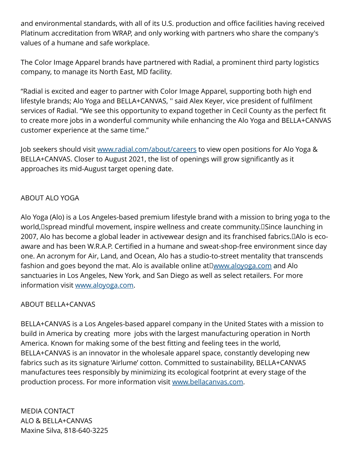and environmental standards, with all of its U.S. production and office facilities having received Platinum accreditation from WRAP, and only working with partners who share the company's values of a humane and safe workplace.

The Color Image Apparel brands have partnered with Radial, a prominent third party logistics company, to manage its North East, MD facility.

"Radial is excited and eager to partner with Color Image Apparel, supporting both high end lifestyle brands; Alo Yoga and BELLA+CANVAS, '' said Alex Keyer, vice president of fulfilment services of Radial. "We see this opportunity to expand together in Cecil County as the perfect fit to create more jobs in a wonderful community while enhancing the Alo Yoga and BELLA+CANVAS customer experience at the same time."

Job seekers should visit [www.radial.com/about/careers](https://www.radial.com/about/careers) to view open positions for Alo Yoga & BELLA+CANVAS. Closer to August 2021, the list of openings will grow significantly as it approaches its mid-August target opening date.

## ABOUT ALO YOGA

Alo Yoga (Alo) is a Los Angeles-based premium lifestyle brand with a mission to bring yoga to the world, spread mindful movement, inspire wellness and create community. Since launching in 2007, Alo has become a global leader in activewear design and its franchised fabrics. Alo is ecoaware and has been W.R.A.P. Certified in a humane and sweat-shop-free environment since day one. An acronym for Air, Land, and Ocean, Alo has a studio-to-street mentality that transcends fashion and goes beyond the mat. Alo is available online at  $\square$ www.aloyoga.com and Alo sanctuaries in Los Angeles, New York, and San Diego as well as select retailers. For more information visit [www.aloyoga.com.](http://www.aloyoga.com)

## ABOUT BELLA+CANVAS

BELLA+CANVAS is a Los Angeles-based apparel company in the United States with a mission to build in America by creating more jobs with the largest manufacturing operation in North America. Known for making some of the best fitting and feeling tees in the world, BELLA+CANVAS is an innovator in the wholesale apparel space, constantly developing new fabrics such as its signature 'Airlume' cotton. Committed to sustainability, BELLA+CANVAS manufactures tees responsibly by minimizing its ecological footprint at every stage of the production process. For more information visit [www.bellacanvas.com.](https://www.bellacanvas.com)

MEDIA CONTACT ALO & BELLA+CANVAS Maxine Silva, 818-640-3225